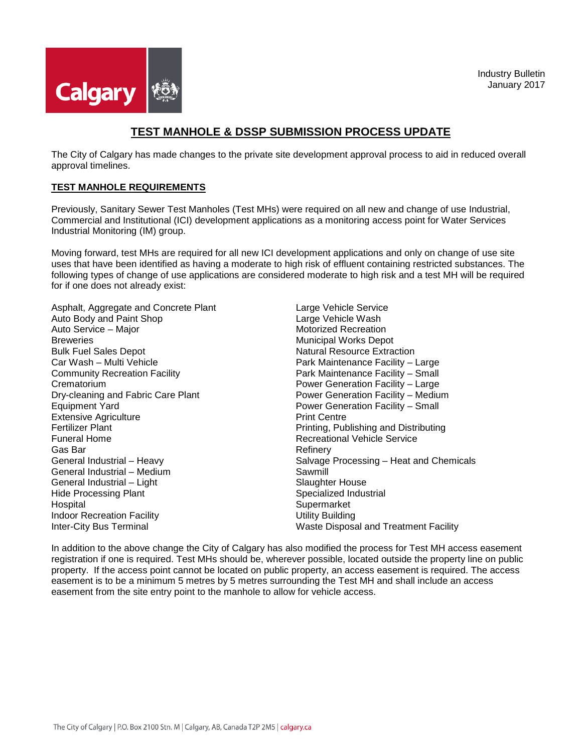

## **TEST MANHOLE & DSSP SUBMISSION PROCESS UPDATE**

The City of Calgary has made changes to the private site development approval process to aid in reduced overall approval timelines.

## **TEST MANHOLE REQUIREMENTS**

Previously, Sanitary Sewer Test Manholes (Test MHs) were required on all new and change of use Industrial, Commercial and Institutional (ICI) development applications as a monitoring access point for Water Services Industrial Monitoring (IM) group.

Moving forward, test MHs are required for all new ICI development applications and only on change of use site uses that have been identified as having a moderate to high risk of effluent containing restricted substances. The following types of change of use applications are considered moderate to high risk and a test MH will be required for if one does not already exist:

Asphalt, Aggregate and Concrete Plant Auto Body and Paint Shop Auto Service – Major **Breweries** Bulk Fuel Sales Depot Car Wash – Multi Vehicle Community Recreation Facility **Crematorium** Dry-cleaning and Fabric Care Plant Equipment Yard Extensive Agriculture Fertilizer Plant Funeral Home Gas Bar General Industrial – Heavy General Industrial – Medium General Industrial – Light Hide Processing Plant Hospital Indoor Recreation Facility Inter-City Bus Terminal

Large Vehicle Service Large Vehicle Wash Motorized Recreation Municipal Works Depot Natural Resource Extraction Park Maintenance Facility – Large Park Maintenance Facility – Small Power Generation Facility – Large Power Generation Facility – Medium Power Generation Facility – Small Print Centre Printing, Publishing and Distributing Recreational Vehicle Service Refinery Salvage Processing – Heat and Chemicals Sawmill Slaughter House Specialized Industrial **Supermarket** Utility Building Waste Disposal and Treatment Facility

In addition to the above change the City of Calgary has also modified the process for Test MH access easement registration if one is required. Test MHs should be, wherever possible, located outside the property line on public property. If the access point cannot be located on public property, an access easement is required. The access easement is to be a minimum 5 metres by 5 metres surrounding the Test MH and shall include an access easement from the site entry point to the manhole to allow for vehicle access.